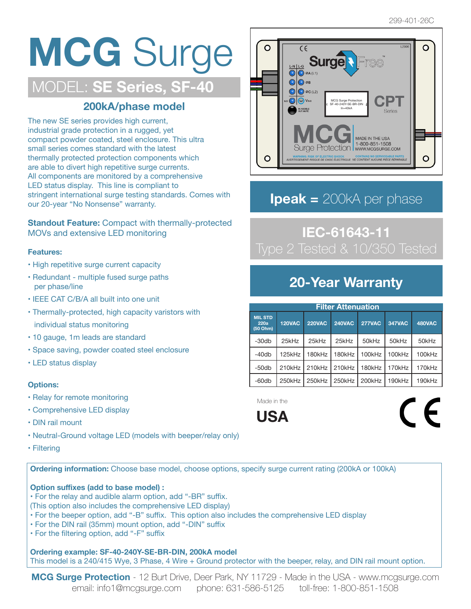## **MCG** Surge MODEL: **SE Series, SF-40**

### **200kA/phase model**

The new SE series provides high current, industrial grade protection in a rugged, yet compact powder coated, steel enclosure. This ultra small series comes standard with the latest thermally protected protection components which are able to divert high repetitive surge currents. All components are monitored by a comprehensive LED status display. This line is compliant to stringent international surge testing standards. Comes with our 20-year "No Nonsense" warranty.

**Standout Feature:** Compact with thermally-protected MOVs and extensive LED monitoring

#### **Features:**

- High repetitive surge current capacity
- Redundant multiple fused surge paths per phase/line
- IEEE CAT C/B/A all built into one unit
- Thermally-protected, high capacity varistors with individual status monitoring
- 10 gauge, 1m leads are standard
- Space saving, powder coated steel enclosure
- LED status display

#### **Options:**

- Relay for remote monitoring
- Comprehensive LED display
- DIN rail mount
- Neutral-Ground voltage LED (models with beeper/relay only)
- Filtering

**Ordering information:** Choose base model, choose options, specify surge current rating (200kA or 100kA)

#### **Option suffixes (add to base model) :**

- For the relay and audible alarm option, add "-BR" suffix.
- (This option also includes the comprehensive LED display)
- For the beeper option, add "-B" suffix. This option also includes the comprehensive LED display
- For the DIN rail (35mm) mount option, add "-DIN" suffix
- For the filtering option, add "-F" suffix

 **Ordering example: SF-40-240Y-SE-BR-DIN, 200kA model** This model is a 240/415 Wye, 3 Phase, 4 Wire + Ground protector with the beeper, relay, and DIN rail mount option.

**MCG Surge Protection** - 12 Burt Drive, Deer Park, NY 11729 - Made in the USA - www.mcgsurge.com email: info1@mcgsurge.com phone: 631-586-5125 toll-free: 1-800-851-1508



## **Ipeak =** 200kA per phase

# **IEC-61643-11**

### **20-Year Warranty**

| <b>Filter Attenuation</b>          |               |               |               |               |               |               |
|------------------------------------|---------------|---------------|---------------|---------------|---------------|---------------|
| <b>MIL STD</b><br>220a<br>(50 Ohm) | <b>120VAC</b> | <b>220VAC</b> | <b>240VAC</b> | <b>277VAC</b> | <b>347VAC</b> | <b>480VAC</b> |
| $-30db$                            | 25kHz         | 25kHz         | 25kHz         | 50kHz         | 50kHz         | 50kHz         |
| $-40db$                            | 125kHz        | 180kHz        | 180kHz        | 100kHz        | 100kHz        | 100kHz        |
| $-50db$                            | 210kHz        | 210kHz        | 210kHz        | 180kHz        | 170kHz        | 170kHz        |
| $-60db$                            | $250$ kHz     | $250$ k $Hz$  | 250kHz        | 200kHz        | 190kHz        | 190kHz        |

Made in the